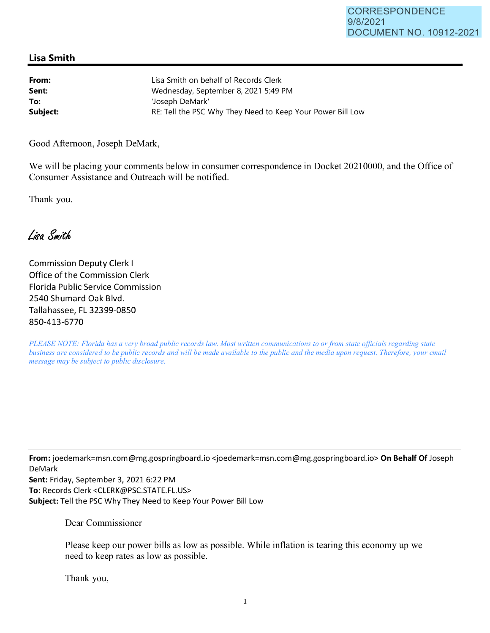## **Lisa Smith**

| From:    | Lisa Smith on behalf of Records Clerk                      |
|----------|------------------------------------------------------------|
| Sent:    | Wednesday, September 8, 2021 5:49 PM                       |
| To:      | 'Joseph DeMark'                                            |
| Subject: | RE: Tell the PSC Why They Need to Keep Your Power Bill Low |

Good Afternoon, Joseph DeMark,

We will be placing your comments below in consumer correspondence in Docket 20210000, and the Office of Consumer Assistance and Outreach will be notified.

Thank you.

Lisa Smith

Commission Deputy Clerk I Office of the Commission Clerk Florida Public Service Commission 2540 Shumard Oak Blvd. Tallahassee, FL 32399-0850 850-413-6770

*PLEASE NOTE: Florida has a very broad public records law. Most written communications to or from state officials regarding state business are considered to be public records and will be made available to the public and the media upon request. Therefore, your email message may be subject to public disclosure.* 

**From:** joedemark=msn.com@mg.gospringboard.io <joedemark=msn.com@mg.gospringboard.io> **On Behalf Of** Joseph DeMark

**Sent:** Friday, September 3, 2021 6:22 PM **To:** Records Clerk <CLERK@PSC.STATE.FL.US> **Subject:** Tell the PSC Why They Need to Keep Your Power Bill Low

Dear Commissioner

Please keep our power bills as low as possible. While inflation is tearing this economy up we need to keep rates as low as possible.

Thank you,